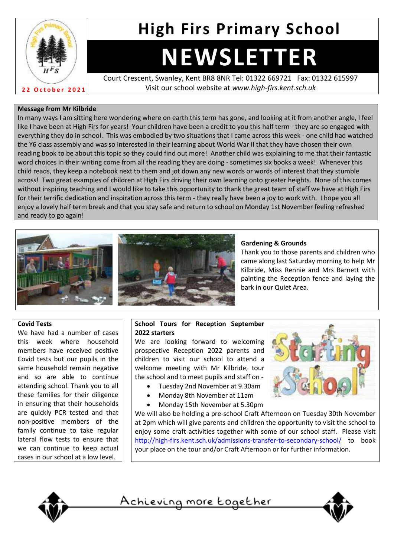

# **High Firs Primary School**

# **NEWSLETTER**

Court Crescent, Swanley, Kent BR8 8NR Tel: 01322 669721 Fax: 01322 615997 Visit our school website at *www.high-firs.kent.sch.uk*

#### **Message from Mr Kilbride**

In many ways I am sitting here wondering where on earth this term has gone, and looking at it from another angle, I feel like I have been at High Firs for years! Your children have been a credit to you this half term - they are so engaged with everything they do in school. This was embodied by two situations that I came across this week - one child had watched the Y6 class assembly and was so interested in their learning about World War II that they have chosen their own reading book to be about this topic so they could find out more! Another child was explaining to me that their fantastic word choices in their writing come from all the reading they are doing - sometimes six books a week! Whenever this child reads, they keep a notebook next to them and jot down any new words or words of interest that they stumble across! Two great examples of children at High Firs driving their own learning onto greater heights. None of this comes without inspiring teaching and I would like to take this opportunity to thank the great team of staff we have at High Firs for their terrific dedication and inspiration across this term - they really have been a joy to work with. I hope you all enjoy a lovely half term break and that you stay safe and return to school on Monday 1st November feeling refreshed and ready to go again!



#### **Gardening & Grounds**

Thank you to those parents and children who came along last Saturday morning to help Mr Kilbride, Miss Rennie and Mrs Barnett with painting the Reception fence and laying the bark in our Quiet Area.

#### **Covid Tests**

We have had a number of cases this week where household members have received positive Covid tests but our pupils in the same household remain negative and so are able to continue attending school. Thank you to all these families for their diligence in ensuring that their households are quickly PCR tested and that non-positive members of the family continue to take regular lateral flow tests to ensure that we can continue to keep actual cases in our school at a low level.

#### **School Tours for Reception September 2022 starters**

We are looking forward to welcoming prospective Reception 2022 parents and children to visit our school to attend a welcome meeting with Mr Kilbride, tour the school and to meet pupils and staff on -

- Tuesday 2nd November at 9.30am
- Monday 8th November at 11am
- Monday 15th November at 5.30pm



We will also be holding a pre-school Craft Afternoon on Tuesday 30th November at 2pm which will give parents and children the opportunity to visit the school to enjoy some craft activities together with some of our school staff. Please visit <http://high-firs.kent.sch.uk/admissions-transfer-to-secondary-school/> to book your place on the tour and/or Craft Afternoon or for further information.



Achieving more together

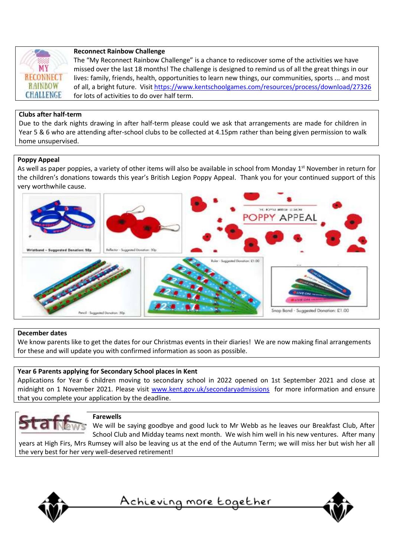

#### **Reconnect Rainbow Challenge**

The "My Reconnect Rainbow Challenge" is a chance to rediscover some of the activities we have missed over the last 18 months! The challenge is designed to remind us of all the great things in our lives: family, friends, health, opportunities to learn new things, our communities, sports ... and most of all, a bright future. Visit<https://www.kentschoolgames.com/resources/process/download/27326> for lots of activities to do over half term.

#### **Clubs after half-term**

Due to the dark nights drawing in after half-term please could we ask that arrangements are made for children in Year 5 & 6 who are attending after-school clubs to be collected at 4.15pm rather than being given permission to walk home unsupervised.

#### **Poppy Appeal**

As well as paper poppies, a variety of other items will also be available in school from Monday 1<sup>st</sup> November in return for the children's donations towards this year's British Legion Poppy Appeal. Thank you for your continued support of this very worthwhile cause.



#### **December dates**

We know parents like to get the dates for our Christmas events in their diaries! We are now making final arrangements for these and will update you with confirmed information as soon as possible.

#### **Year 6 Parents applying for Secondary School places in Kent**

Applications for Year 6 children moving to secondary school in 2022 opened on 1st September 2021 and close at midnight on 1 November 2021. Please visit [www.kent.gov.uk/secondaryadmissions](http://www.kent.gov.uk/secondaryadmissions) for more information and ensure that you complete your application by the deadline.



#### **Farewells**

We will be saying goodbye and good luck to Mr Webb as he leaves our Breakfast Club, After School Club and Midday teams next month. We wish him well in his new ventures. After many years at High Firs, Mrs Rumsey will also be leaving us at the end of the Autumn Term; we will miss her but wish her all

the very best for her very well-deserved retirement!



<u>Achieving more together</u>

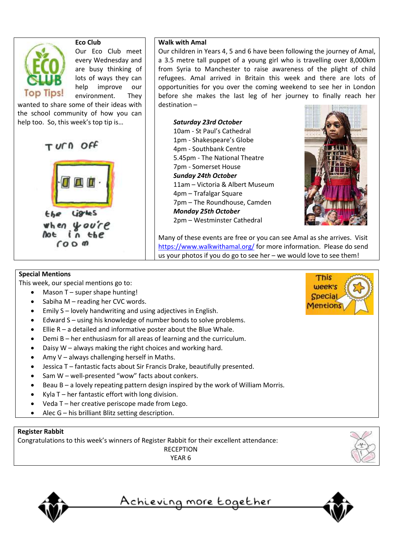

Lights the when you're **Not**  $in$  the  $000$ 

#### **Walk with Amal**

Our children in Years 4, 5 and 6 have been following the journey of Amal, a 3.5 metre tall puppet of a young girl who is travelling over 8,000km from Syria to Manchester to raise awareness of the plight of child refugees. Amal arrived in Britain this week and there are lots of opportunities for you over the coming weekend to see her in London before she makes the last leg of her journey to finally reach her destination –

*Saturday 23rd October* 10am - St Paul's Cathedral 1pm - Shakespeare's Globe 4pm - Southbank Centre 5.45pm - The National Theatre 7pm - Somerset House *Sunday 24th October*  11am – Victoria & Albert Museum 4pm – Trafalgar Square 7pm – The Roundhouse, Camden *Monday 25th October* 2pm – Westminster Cathedral



Many of these events are free or you can see Amal as she arrives. Visit <https://www.walkwithamal.org/> for more information. Please do send us your photos if you do go to see her – we would love to see them!

#### **Special Mentions**

This week, our special mentions go to:

- Mason T super shape hunting!
- Sabiha M reading her CVC words.
- Emily S lovely handwriting and using adjectives in English.
- Edward S using his knowledge of number bonds to solve problems.
- Ellie R a detailed and informative poster about the Blue Whale.
- Demi B her enthusiasm for all areas of learning and the curriculum.
- Daisy  $W$  always making the right choices and working hard.
- Amy V always challenging herself in Maths.
- Jessica T fantastic facts about Sir Francis Drake, beautifully presented.
- Sam W well-presented "wow" facts about conkers.
- Beau  $B a$  lovely repeating pattern design inspired by the work of William Morris.
- Kyla  $T$  her fantastic effort with long division.
- Veda T her creative periscope made from Lego.
- Alec G his brilliant Blitz setting description.

#### **Register Rabbit**

Congratulations to this week's winners of Register Rabbit for their excellent attendance:

RECEPTION YEAR 6

<u>Achieving more together</u>